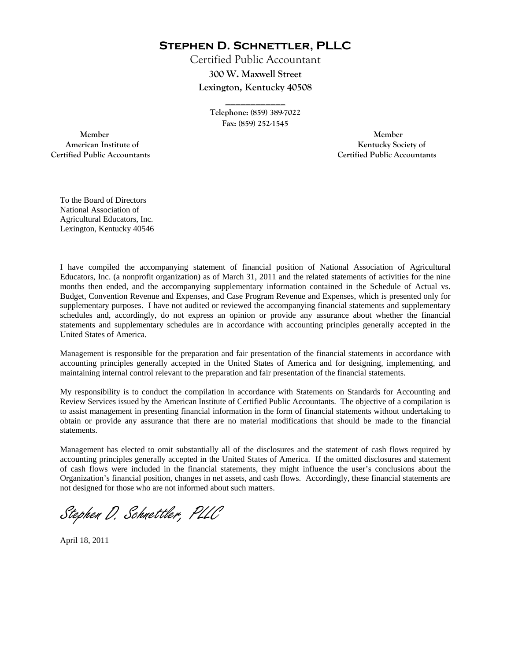**Stephen D. Schnettler, PLLC**

Certified Public Accountant **300 W. Maxwell Street Lexington, Kentucky 40508** 

> **Telephone: (859) 389-7022 Fax: (859) 252-1545**

**\_\_\_\_\_\_\_\_\_\_\_\_** 

 **Member Member Certified Public Accountants Certified Public Accountants** 

American Institute of **Kentucky Society of American Institute of** 

To the Board of Directors National Association of Agricultural Educators, Inc. Lexington, Kentucky 40546

I have compiled the accompanying statement of financial position of National Association of Agricultural Educators, Inc. (a nonprofit organization) as of March 31, 2011 and the related statements of activities for the nine months then ended, and the accompanying supplementary information contained in the Schedule of Actual vs. Budget, Convention Revenue and Expenses, and Case Program Revenue and Expenses, which is presented only for supplementary purposes. I have not audited or reviewed the accompanying financial statements and supplementary schedules and, accordingly, do not express an opinion or provide any assurance about whether the financial statements and supplementary schedules are in accordance with accounting principles generally accepted in the United States of America.

Management is responsible for the preparation and fair presentation of the financial statements in accordance with accounting principles generally accepted in the United States of America and for designing, implementing, and maintaining internal control relevant to the preparation and fair presentation of the financial statements.

My responsibility is to conduct the compilation in accordance with Statements on Standards for Accounting and Review Services issued by the American Institute of Certified Public Accountants. The objective of a compilation is to assist management in presenting financial information in the form of financial statements without undertaking to obtain or provide any assurance that there are no material modifications that should be made to the financial statements.

Management has elected to omit substantially all of the disclosures and the statement of cash flows required by accounting principles generally accepted in the United States of America. If the omitted disclosures and statement of cash flows were included in the financial statements, they might influence the user's conclusions about the Organization's financial position, changes in net assets, and cash flows. Accordingly, these financial statements are not designed for those who are not informed about such matters.

Stephen D. Schnettler, PLLC

April 18, 2011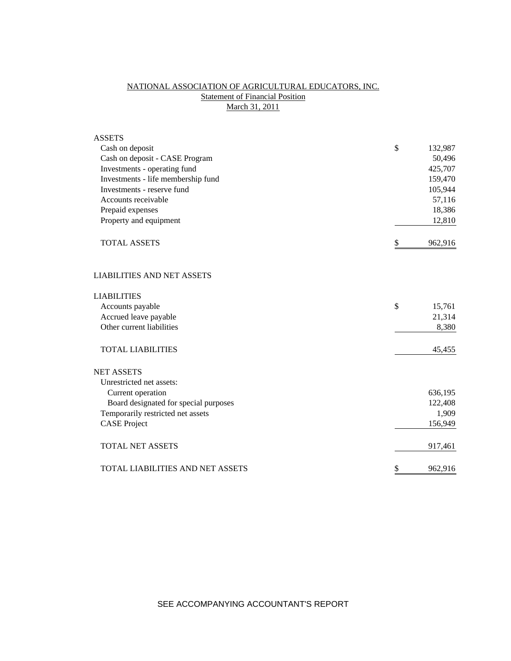# NATIONAL ASSOCIATION OF AGRICULTURAL EDUCATORS, INC. **Statement of Financial Position** March 31, 2011

| <b>ASSETS</b>                         |               |
|---------------------------------------|---------------|
| Cash on deposit                       | \$<br>132,987 |
| Cash on deposit - CASE Program        | 50,496        |
| Investments - operating fund          | 425,707       |
| Investments - life membership fund    | 159,470       |
| Investments - reserve fund            | 105,944       |
| Accounts receivable                   | 57,116        |
| Prepaid expenses                      | 18,386        |
| Property and equipment                | 12,810        |
| <b>TOTAL ASSETS</b>                   | \$<br>962,916 |
| <b>LIABILITIES AND NET ASSETS</b>     |               |
| <b>LIABILITIES</b>                    |               |
| Accounts payable                      | \$<br>15,761  |
| Accrued leave payable                 | 21,314        |
| Other current liabilities             | 8,380         |
| <b>TOTAL LIABILITIES</b>              | 45,455        |
| <b>NET ASSETS</b>                     |               |
| Unrestricted net assets:              |               |
| Current operation                     | 636,195       |
| Board designated for special purposes | 122,408       |
| Temporarily restricted net assets     | 1,909         |
| <b>CASE Project</b>                   | 156,949       |
| <b>TOTAL NET ASSETS</b>               | 917,461       |
| TOTAL LIABILITIES AND NET ASSETS      | \$<br>962,916 |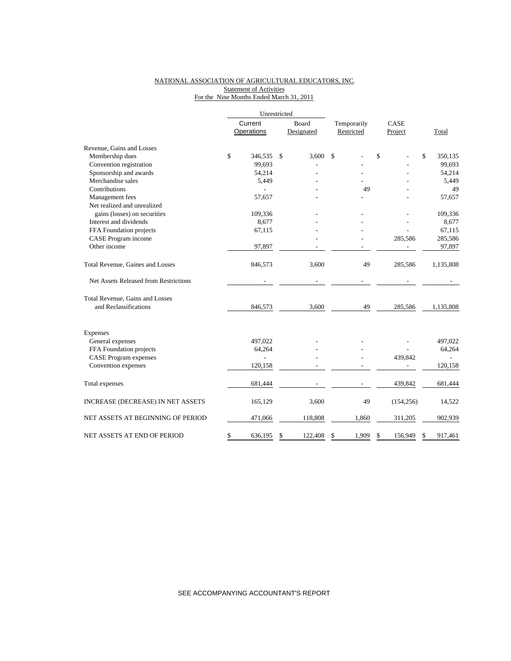### NATIONAL ASSOCIATION OF AGRICULTURAL EDUCATORS, INC. Statement of Activities For the Nine Months Ended March 31, 2011

|                                       | Unrestricted |                |       |            |             |       |      |            |              |           |  |
|---------------------------------------|--------------|----------------|-------|------------|-------------|-------|------|------------|--------------|-----------|--|
|                                       | Current      |                | Board |            | Temporarily |       | CASE |            |              |           |  |
|                                       |              | Operations     |       | Designated | Restricted  |       |      | Project    |              | Total     |  |
| Revenue, Gains and Losses             |              |                |       |            |             |       |      |            |              |           |  |
| Membership dues                       | \$           | 346,535        | \$    | 3,600      | \$          |       | \$   |            | $\mathbb{S}$ | 350,135   |  |
| Convention registration               |              | 99,693         |       |            |             |       |      |            |              | 99.693    |  |
| Sponsorship and awards                |              | 54,214         |       |            |             |       |      |            |              | 54,214    |  |
| Merchandise sales                     |              | 5,449          |       |            |             |       |      |            |              | 5,449     |  |
| Contributions                         |              |                |       |            |             | 49    |      |            |              | 49        |  |
| Management fees                       |              | 57,657         |       |            |             |       |      |            |              | 57,657    |  |
| Net realized and unrealized           |              |                |       |            |             |       |      |            |              |           |  |
| gains (losses) on securities          |              | 109,336        |       |            |             |       |      |            |              | 109,336   |  |
| Interest and dividends                |              | 8,677          |       |            |             |       |      |            |              | 8,677     |  |
| FFA Foundation projects               |              | 67,115         |       |            |             |       |      |            |              | 67,115    |  |
| CASE Program income                   |              |                |       |            |             |       |      | 285,586    |              | 285,586   |  |
| Other income                          |              | 97,897         |       |            |             |       |      |            |              | 97,897    |  |
| Total Revenue, Gaines and Losses      |              | 846,573        |       | 3,600      |             | 49    |      | 285,586    |              | 1,135,808 |  |
| Net Assets Released from Restrictions |              |                |       |            |             |       |      |            |              |           |  |
| Total Revenue, Gains and Losses       |              |                |       |            |             |       |      |            |              |           |  |
| and Reclassifications                 |              | 846,573        |       | 3,600      |             | 49    |      | 285,586    |              | 1,135,808 |  |
| Expenses                              |              |                |       |            |             |       |      |            |              |           |  |
| General expenses                      |              | 497,022        |       |            |             |       |      |            |              | 497,022   |  |
| FFA Foundation projects               |              | 64,264         |       |            |             |       |      |            |              | 64,264    |  |
| <b>CASE</b> Program expenses          |              | $\overline{a}$ |       |            |             |       |      | 439,842    |              |           |  |
| Convention expenses                   |              | 120,158        |       |            |             |       |      |            |              | 120,158   |  |
| Total expenses                        |              | 681,444        |       |            |             |       |      | 439,842    |              | 681,444   |  |
| INCREASE (DECREASE) IN NET ASSETS     |              | 165,129        |       | 3,600      |             | 49    |      | (154, 256) |              | 14,522    |  |
| NET ASSETS AT BEGINNING OF PERIOD     |              | 471,066        |       | 118,808    |             | 1,860 |      | 311,205    |              | 902,939   |  |
| NET ASSETS AT END OF PERIOD           | \$           | 636.195        | \$    | 122.408    | \$          | 1,909 | \$   | 156.949    | \$           | 917,461   |  |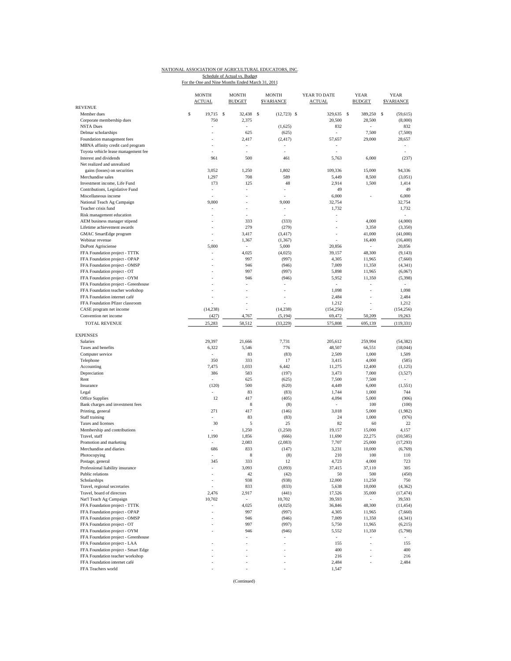### NATIONAL ASSOCIATION OF AGRICULTURAL EDUCATORS, INC. Schedule of Actual vs. Budget<br>For the One and Nine Months Ended March 31, 2011

|                                          | <b>MONTH</b><br><b>ACTUAL</b> | <b>MONTH</b><br><b>BUDGET</b> | <b>MONTH</b><br><b>SVARIANCE</b> | YEAR TO DATE<br><b>ACTUAL</b> | <b>YEAR</b><br><b>BUDGET</b> | <b>YEAR</b><br><b><i>SVARIANCE</i></b> |
|------------------------------------------|-------------------------------|-------------------------------|----------------------------------|-------------------------------|------------------------------|----------------------------------------|
| <b>REVENUE</b>                           | \$<br>19,715 \$               | 32,438                        | -S                               | 329,635                       | - S                          | s                                      |
| Member dues<br>Corporate membership dues | 750                           | 2,375                         | $(12, 723)$ \$                   | 20,500                        | 389,250<br>28,500            | (59, 615)<br>(8,000)                   |
| <b>NSTA Dues</b>                         |                               | ÷,                            | (1,625)                          | 832                           |                              | 832                                    |
| Delmar scholarships                      |                               | 625                           | (625)                            |                               | 7,500                        | (7,500)                                |
| Foundation management fees               |                               | 2,417                         | (2, 417)                         | 57,657                        | 29,000                       | 28,657                                 |
| MBNA affinity credit card program        |                               | ÷,                            |                                  |                               |                              |                                        |
| Toyota vehicle lease management fee      |                               |                               |                                  |                               |                              |                                        |
| Interest and dividends                   | 961                           | 500                           | 461                              | 5,763                         | 6,000                        | (237)                                  |
| Net realized and unrealized              |                               |                               |                                  |                               |                              |                                        |
| gains (losses) on securities             | 3,052                         | 1,250                         | 1,802                            | 109,336                       | 15,000                       | 94,336                                 |
| Merchandise sales                        | 1,297                         | 708                           | 589                              | 5,449                         | 8,500                        | (3,051)                                |
| Investment income, Life Fund             | 173                           | 125                           | 48                               | 2,914                         | 1,500                        | 1,414                                  |
| Contributions, Legislative Fund          | ä,                            | ÷,                            | ÷,                               | 49                            |                              | 49                                     |
| Miscellaneous income                     |                               | ÷                             |                                  | 6,000                         |                              | 6,000                                  |
| National Teach Ag Campaign               | 9,000                         |                               | 9,000                            | 32,754                        |                              | 32,754                                 |
| Teacher crisis fund                      |                               | ÷                             | ٠                                | 1,732                         |                              | 1,732                                  |
| Risk management education                |                               |                               | ÷.                               |                               |                              | ×.                                     |
| AEM business manager stipend             |                               | 333                           | (333)                            | ÷,                            | 4,000                        | (4,000)                                |
| Lifetime achievement awards              |                               | 279                           | (279)                            |                               | 3,350                        | (3,350)                                |
| GMAC SmartEdge program                   |                               | 3,417                         | (3, 417)                         | ٠                             | 41,000                       | (41,000)                               |
| Webinar revenue                          |                               | 1,367                         | (1, 367)                         |                               | 16,400                       | (16, 400)                              |
| <b>DuPont Agrisciense</b>                | 5,000                         | $\sim$                        | 5,000                            | 20,856                        | $\sim$                       | 20,856                                 |
| FFA Foundation project - TTTK            |                               | 4,025                         | (4,025)                          | 39,157                        | 48,300                       | (9, 143)                               |
| FFA Foundation project - OPAP            |                               | 997                           | (997)                            | 4,305                         | 11,965                       | (7,660)                                |
| FFA Foundation project - OMSP            |                               | 946                           | (946)                            | 7,009                         | 11,350                       | (4, 341)                               |
| FFA Foundation project - OT              |                               | 997                           | (997)                            | 5,898                         | 11,965                       | (6,067)                                |
| FFA Foundation project - OYM             |                               | 946                           | (946)                            | 5,952                         | 11,350                       | (5, 398)                               |
| FFA Foundation project - Greenhouse      |                               |                               |                                  | $\sim$                        | ÷,                           | $\sim$                                 |
| FFA Foundation teacher workshop          |                               |                               |                                  | 1,098                         |                              | 1,098                                  |
| FFA Foundation internet café             |                               |                               |                                  | 2,484                         |                              | 2,484                                  |
| FFA Foundation Pfizer classroom          |                               |                               |                                  | 1,212                         |                              | 1,212                                  |
| CASE program net income                  | (14, 238)                     |                               | (14, 238)                        | (154, 256)                    |                              | (154, 256)                             |
| Convention net income                    | (427)                         | 4,767                         | (5, 194)                         | 69,472                        | 50.209                       | 19,263                                 |
| <b>TOTAL REVENUE</b>                     | 25,283                        | 58,512                        | (33, 229)                        | 575,808                       | 695,139                      | (119, 331)                             |
| <b>EXPENSES</b>                          |                               |                               |                                  |                               |                              |                                        |
| Salaries                                 | 29,397                        | 21,666                        | 7,731                            | 205,612                       | 259,994                      | (54, 382)                              |
| Taxes and benefits                       | 6,322                         | 5,546                         | 776                              | 48,507                        | 66,551                       | (18, 044)                              |
|                                          |                               | 83                            |                                  |                               | 1,000                        |                                        |
| Computer service<br>Telephone            | 350                           | 333                           | (83)<br>17                       | 2,509<br>3,415                | 4,000                        | 1,509                                  |
| Accounting                               | 7,475                         | 1,033                         | 6,442                            | 11,275                        | 12,400                       | (585)<br>(1, 125)                      |
| Depreciation                             | 386                           | 583                           | (197)                            | 3,473                         | 7,000                        | (3,527)                                |
| Rent                                     | ÷,                            | 625                           |                                  | 7,500                         | 7,500                        | $\sim$                                 |
|                                          |                               | 500                           | (625)                            |                               |                              |                                        |
| Insurance                                | (120)                         |                               | (620)                            | 4,449                         | 6,000                        | (1, 551)                               |
| Legal                                    |                               | 83                            | (83)                             | 1,744                         | 1,000                        | 744                                    |
| <b>Office Supplies</b>                   | 12                            | 417                           | (405)                            | 4,094                         | 5,000                        | (906)                                  |
| Bank charges and investment fees         |                               | 8                             | (8)                              | $\overline{\phantom{a}}$      | 100                          | (100)                                  |
| Printing, general                        | 271                           | 417                           | (146)                            | 3,018                         | 5,000                        | (1,982)                                |
| Staff training                           |                               | 83                            | (83)                             | 24                            | 1,000                        | (976)                                  |
| Taxes and licenses                       | 30                            | 5                             | 25                               | 82                            | 60                           | 22                                     |
| Membership and contributions             |                               | 1,250                         | (1,250)                          | 19,157                        | 15,000                       | 4,157                                  |
| Travel, staff                            | 1,190                         | 1,856                         | (666)                            | 11,690                        | 22,275                       | (10, 585)                              |
| Promotion and marketing                  |                               | 2,083                         | (2,083)                          | 7,707                         | 25,000                       | (17, 293)                              |
| Merchandise and diaries                  | 686                           | 833                           | (147)                            | 3,231                         | 10,000                       | (6,769)                                |
| Photocopying                             |                               | 8                             | (8)                              | 210                           | 100                          | 110                                    |
| Postage, general                         | 345                           | 333                           | 12                               | 4,723                         | 4,000                        | 723                                    |
| Professional liability insurance         |                               | 3,093                         | (3,093)                          | 37,415                        | 37,110                       | 305                                    |
| Public relations                         |                               | 42                            | (42)                             | 50                            | 500                          | (450)                                  |
| Scholarships                             |                               | 938                           | (938)                            | 12,000                        | 11,250                       | 750                                    |
| Travel, regional secretaries             |                               | 833                           | (833)                            | 5,638                         | 10,000                       | (4, 362)                               |
| Travel, board of directors               | 2,476                         | 2,917                         | (441)                            | 17,526                        | 35,000                       | (17, 474)                              |
| Nat'l Teach Ag Campaign                  | 10,702                        | $\sim$                        | 10,702                           | 39,593                        | $\overline{\phantom{a}}$     | 39,593                                 |
| FFA Foundation project - TTTK            | $\bar{a}$                     | 4,025                         | (4,025)                          | 36,846                        | 48,300                       | (11, 454)                              |
| FFA Foundation project - OPAP            |                               | 997                           | (997)                            | 4,305                         | 11,965                       | (7,660)                                |
| FFA Foundation project - OMSP            |                               | 946                           | (946)                            | 7,009                         | 11,350                       | (4, 341)                               |
| FFA Foundation project - OT              |                               | 997                           | (997)                            | 5,750                         | 11,965                       | (6,215)                                |
| FFA Foundation project - OYM             |                               | 946                           | (946)                            | 5,552                         | 11,350                       | (5,798)                                |
| FFA Foundation project - Greenhouse      |                               | ÷,                            |                                  | $\overline{\phantom{a}}$      |                              |                                        |
| FFA Foundation project - LAA             |                               |                               |                                  | 155                           |                              | 155                                    |
| FFA Foundation project - Smart Edge      |                               |                               |                                  | 400                           |                              | 400                                    |
| FFA Foundation teacher workshop          |                               |                               |                                  | 216                           |                              | 216                                    |
| FFA Foundation internet café             |                               |                               |                                  | 2,484                         |                              | 2,484                                  |
| FFA Teachers world                       |                               |                               |                                  | 1,547                         |                              |                                        |
|                                          |                               |                               |                                  |                               |                              |                                        |

(Continued)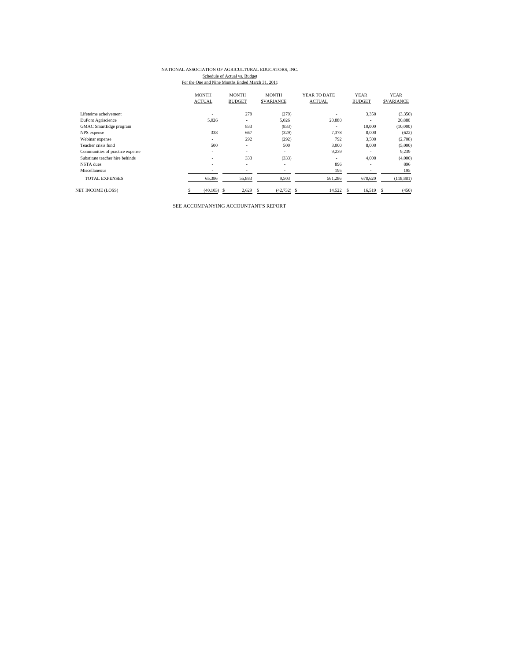# NATIONAL ASSOCIATION OF AGRICULTURAL EDUCATORS, INC.

Schedule of Actual vs. Budget<br>For the One and Nine Months Ended March 31, 2011

|                                 | <b>MONTH</b><br><b>ACTUAL</b> | <b>MONTH</b><br><b>BUDGET</b> | <b>MONTH</b><br><b>SVARIANCE</b> | YEAR TO DATE<br><b>ACTUAL</b> | <b>YEAR</b><br><b>BUDGET</b> | <b>YEAR</b><br><b>SVARIANCE</b> |
|---------------------------------|-------------------------------|-------------------------------|----------------------------------|-------------------------------|------------------------------|---------------------------------|
| Lifeteime acheivement           | ٠                             | 279                           | (279)                            |                               | 3,350                        | (3,350)                         |
| DuPont Agriscience              | 5.026                         | $\overline{\phantom{a}}$      | 5.026                            | 20,880                        |                              | 20,880                          |
| GMAC SmartEdge program          |                               | 833                           | (833)                            |                               | 10,000                       | (10,000)                        |
| NPS expense                     | 338                           | 667                           | (329)                            | 7,378                         | 8,000                        | (622)                           |
| Webinar expense                 | ۰                             | 292                           | (292)                            | 792                           | 3,500                        | (2,708)                         |
| Teacher crisis fund             | 500                           | ٠                             | 500                              | 3,000                         | 8,000                        | (5,000)                         |
| Communities of practice expense | ٠                             | ۰                             | ۰                                | 9,239                         | ۰                            | 9,239                           |
| Substitute teacher hire behinds | ۰.                            | 333                           | (333)                            | ۰.                            | 4,000                        | (4,000)                         |
| NSTA dues                       | ٠                             | $\overline{\phantom{a}}$      | $\overline{\phantom{a}}$         | 896                           | ٠                            | 896                             |
| Miscellaneous                   | ۰                             | $\qquad \qquad \blacksquare$  | $\overline{\phantom{a}}$         | 195                           | $\overline{\phantom{a}}$     | 195                             |
| <b>TOTAL EXPENSES</b>           | 65,386                        | 55,883                        | 9,503                            | 561,286                       | 678,620                      | (118, 881)                      |
| <b>NET INCOME (LOSS)</b>        | (40.103)                      | 2,629<br>-S                   | $(42, 732)$ \$<br>£.             | 14,522                        | 16.519<br>S                  | (450)<br>s                      |

SEE ACCOMPANYING ACCOUNTANT'S REPORT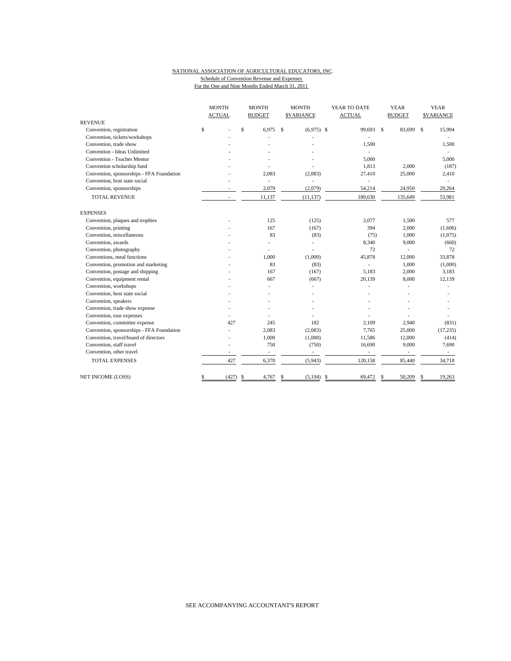#### NATIONAL ASSOCIATION OF AGRICULTURAL EDUCATORS, INC. Schedule of Convention Revenue and Expenses For the One and Nine Months Ended March 31, 2011

|                                           | <b>MONTH</b>             | <b>MONTH</b>             |             | <b>MONTH</b>             |     | YEAR TO DATE             |    | <b>YEAR</b>              | <b>YEAR</b>   |                  |  |
|-------------------------------------------|--------------------------|--------------------------|-------------|--------------------------|-----|--------------------------|----|--------------------------|---------------|------------------|--|
|                                           | <b>ACTUAL</b>            | <b>BUDGET</b>            |             | <b>SVARIANCE</b>         |     | <b>ACTUAL</b>            |    | <b>BUDGET</b>            |               | <b>SVARIANCE</b> |  |
| <b>REVENUE</b>                            |                          |                          |             |                          |     |                          |    |                          |               |                  |  |
| Convention, registration                  | \$                       | \$<br>6.975              | $\mathbf S$ | $(6,975)$ \$             |     | 99,693 \$                |    | 83,699                   | <sup>\$</sup> | 15,994           |  |
| Convention, tickets/workshops             |                          |                          |             |                          |     |                          |    |                          |               |                  |  |
| Convention, trade show                    |                          |                          |             |                          |     | 1,500                    |    |                          |               | 1,500            |  |
| Convention - Ideas Unlimited              |                          |                          |             |                          |     | ÷,                       |    |                          |               |                  |  |
| Convention - Teacher Mentor               |                          |                          |             |                          |     | 5.000                    |    |                          |               | 5,000            |  |
| Convention scholarship fund               |                          |                          |             |                          |     | 1,813                    |    | 2,000                    |               | (187)            |  |
| Convention, sponsorships - FFA Foundation |                          | 2,083                    |             | (2,083)                  |     | 27,410                   |    | 25,000                   |               | 2,410            |  |
| Convention, host state social             |                          | ÷.                       |             | ä,                       |     | ä,                       |    |                          |               |                  |  |
| Convention, sponsorships                  |                          | 2,079                    |             | (2,079)                  |     | 54,214                   |    | 24,950                   |               | 29,264           |  |
| TOTAL REVENUE                             | ٠                        | 11,137                   |             | (11, 137)                |     | 189,630                  |    | 135,649                  |               | 53,981           |  |
| <b>EXPENSES</b>                           |                          |                          |             |                          |     |                          |    |                          |               |                  |  |
| Convention, plaques and trophies          |                          | 125                      |             | (125)                    |     | 2,077                    |    | 1.500                    |               | 577              |  |
| Convention, printing                      |                          | 167                      |             | (167)                    |     | 394                      |    | 2,000                    |               | (1,606)          |  |
| Convention, miscellaneous                 |                          | 83                       |             | (83)                     |     | (75)                     |    | 1,000                    |               | (1,075)          |  |
| Convention, awards                        |                          |                          |             | ä,                       |     | 8,340                    |    | 9,000                    |               | (660)            |  |
| Convention, photography                   |                          |                          |             | L,                       |     | 72                       |    |                          |               | 72               |  |
| Conventions, meal functions               |                          | 1,000                    |             | (1,000)                  |     | 45,878                   |    | 12,000                   |               | 33,878           |  |
| Convention, promotion and marketing       |                          | 83                       |             | (83)                     |     | ÷,                       |    | 1,000                    |               | (1,000)          |  |
| Convention, postage and shipping          |                          | 167                      |             | (167)                    |     | 5,183                    |    | 2,000                    |               | 3,183            |  |
| Convention, equipment rental              |                          | 667                      |             | (667)                    |     | 20,139                   |    | 8,000                    |               | 12,139           |  |
| Convention, workshops                     |                          |                          |             |                          |     |                          |    |                          |               |                  |  |
| Convention, host state social             |                          |                          |             |                          |     |                          |    |                          |               |                  |  |
| Convention, speakers                      |                          |                          |             |                          |     |                          |    |                          |               |                  |  |
| Convention, trade show expense            |                          |                          |             |                          |     |                          |    |                          |               |                  |  |
| Convention, tour expenses                 |                          |                          |             |                          |     |                          |    |                          |               |                  |  |
| Convention, committee expense             | 427                      | 245                      |             | 182                      |     | 2.109                    |    | 2,940                    |               | (831)            |  |
| Convention, sponsorships - FFA Foundation |                          | 2,083                    |             | (2,083)                  |     | 7,765                    |    | 25,000                   |               | (17, 235)        |  |
| Convention, travel/board of directors     |                          | 1,000                    |             | (1,000)                  |     | 11,586                   |    | 12,000                   |               | (414)            |  |
| Convention, staff travel                  |                          | 750                      |             | (750)                    |     | 16,690                   |    | 9,000                    |               | 7,690            |  |
| Convention, other travel                  | $\overline{\phantom{a}}$ | $\overline{\phantom{a}}$ |             | $\overline{\phantom{a}}$ |     | $\overline{\phantom{a}}$ |    | $\overline{\phantom{a}}$ |               | $\sim$           |  |
| <b>TOTAL EXPENSES</b>                     | 427                      | 6,370                    |             | (5,943)                  |     | 120,158                  |    | 85,440                   |               | 34,718           |  |
| NET INCOME (LOSS)                         | \$<br>(427)              | \$<br>4,767              | \$          | (5, 194)                 | -\$ | 69,472                   | \$ | 50,209                   |               | 19,263           |  |